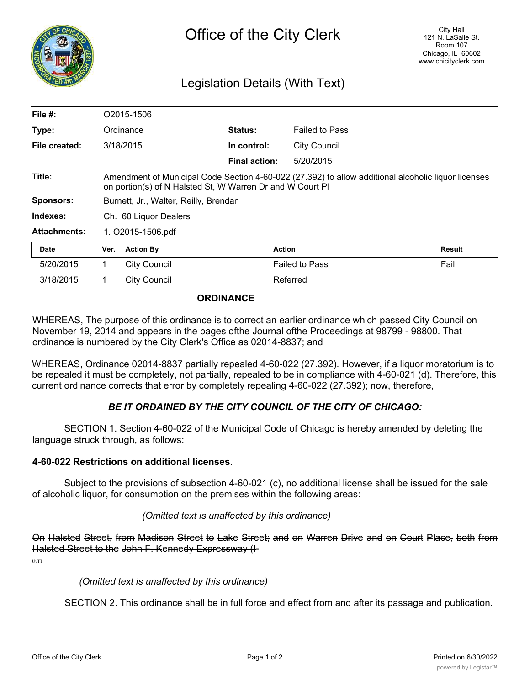

# Legislation Details (With Text)

| File $#$ :          | O2015-1506                                                                                                                                                       |                     |                      |                       |        |
|---------------------|------------------------------------------------------------------------------------------------------------------------------------------------------------------|---------------------|----------------------|-----------------------|--------|
| Type:               |                                                                                                                                                                  | Ordinance           | <b>Status:</b>       | <b>Failed to Pass</b> |        |
| File created:       |                                                                                                                                                                  | 3/18/2015           | In control:          | <b>City Council</b>   |        |
|                     |                                                                                                                                                                  |                     | <b>Final action:</b> | 5/20/2015             |        |
| Title:              | Amendment of Municipal Code Section 4-60-022 (27.392) to allow additional alcoholic liquor licenses<br>on portion(s) of N Halsted St, W Warren Dr and W Court PI |                     |                      |                       |        |
| <b>Sponsors:</b>    | Burnett, Jr., Walter, Reilly, Brendan                                                                                                                            |                     |                      |                       |        |
| Indexes:            | Ch. 60 Liquor Dealers                                                                                                                                            |                     |                      |                       |        |
| <b>Attachments:</b> | 1. O2015-1506.pdf                                                                                                                                                |                     |                      |                       |        |
| <b>Date</b>         | Ver.                                                                                                                                                             | <b>Action By</b>    | <b>Action</b>        |                       | Result |
| 5/20/2015           | 1                                                                                                                                                                | <b>City Council</b> |                      | <b>Failed to Pass</b> | Fail   |
| 3/18/2015           |                                                                                                                                                                  | <b>City Council</b> |                      | Referred              |        |

#### **ORDINANCE**

WHEREAS, The purpose of this ordinance is to correct an earlier ordinance which passed City Council on November 19, 2014 and appears in the pages ofthe Journal ofthe Proceedings at 98799 - 98800. That ordinance is numbered by the City Clerk's Office as 02014-8837; and

WHEREAS, Ordinance 02014-8837 partially repealed 4-60-022 (27.392). However, if a liquor moratorium is to be repealed it must be completely, not partially, repealed to be in compliance with 4-60-021 (d). Therefore, this current ordinance corrects that error by completely repealing 4-60-022 (27.392); now, therefore,

## *BE IT ORDAINED BY THE CITY COUNCIL OF THE CITY OF CHICAGO:*

SECTION 1. Section 4-60-022 of the Municipal Code of Chicago is hereby amended by deleting the language struck through, as follows:

#### **4-60-022 Restrictions on additional licenses.**

Subject to the provisions of subsection 4-60-021 (c), no additional license shall be issued for the sale of alcoholic liquor, for consumption on the premises within the following areas:

### *(Omitted text is unaffected by this ordinance)*

On Halsted Street, from Madison Street to Lake Street; and on Warren Drive and on Court Place, both from Halsted Street to the John F. Kennedy Expressway (I-

UvTT

#### *(Omitted text is unaffected by this ordinance)*

SECTION 2. This ordinance shall be in full force and effect from and after its passage and publication.